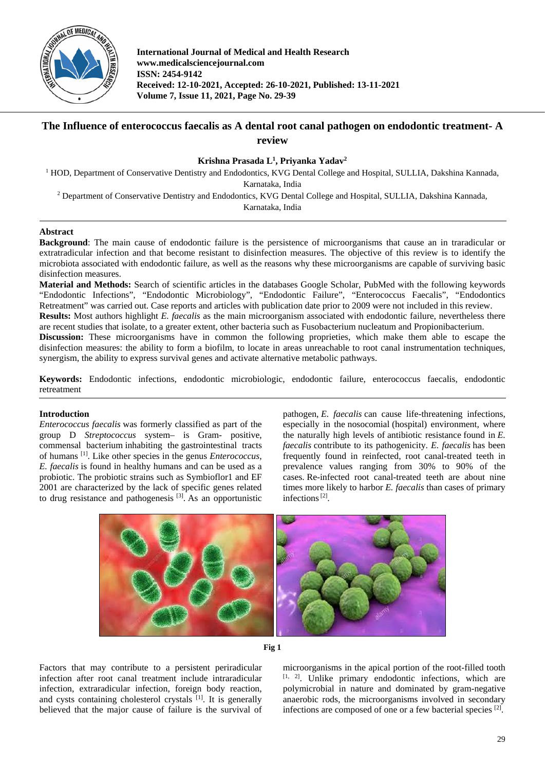

**International Journal of Medical and Health Research www.medicalsciencejournal.com ISSN: 2454-9142 Received: 12-10-2021, Accepted: 26-10-2021, Published: 13-11-2021 Volume 7, Issue 11, 2021, Page No. 29-39**

# **The Influence of enterococcus faecalis as A dental root canal pathogen on endodontic treatment- A review**

## **Krishna Prasada L1 , Priyanka Yadav2**

<sup>1</sup> HOD, Department of Conservative Dentistry and Endodontics, KVG Dental College and Hospital, SULLIA, Dakshina Kannada, Karnataka, India

<sup>2</sup> Department of Conservative Dentistry and Endodontics, KVG Dental College and Hospital, SULLIA, Dakshina Kannada,

Karnataka, India

## **Abstract**

**Background**: The main cause of endodontic failure is the persistence of microorganisms that cause an in traradicular or extratradicular infection and that become resistant to disinfection measures. The objective of this review is to identify the microbiota associated with endodontic failure, as well as the reasons why these microorganisms are capable of surviving basic disinfection measures.

**Material and Methods:** Search of scientific articles in the databases Google Scholar, PubMed with the following keywords "Endodontic Infections", "Endodontic Microbiology", "Endodontic Failure", "Enterococcus Faecalis", "Endodontics Retreatment" was carried out. Case reports and articles with publication date prior to 2009 were not included in this review.

**Results:** Most authors highlight *E. faecalis* as the main microorganism associated with endodontic failure, nevertheless there are recent studies that isolate, to a greater extent, other bacteria such as Fusobacterium nucleatum and Propionibacterium.

**Discussion:** These microorganisms have in common the following proprieties, which make them able to escape the disinfection measures: the ability to form a biofilm, to locate in areas unreachable to root canal instrumentation techniques, synergism, the ability to express survival genes and activate alternative metabolic pathways.

**Keywords:** Endodontic infections, endodontic microbiologic, endodontic failure, enterococcus faecalis, endodontic retreatment

## **Introduction**

*Enterococcus faecalis* was formerly classified as part of the group D *Streptococcus* system– is Gram- positive, commensal bacterium inhabiting the gastrointestinal tracts of humans [1]. Like other species in the genus *Enterococcus*, *E. faecalis* is found in healthy humans and can be used as a probiotic. The probiotic strains such as Symbioflor1 and EF 2001 are characterized by the lack of specific genes related to drug resistance and pathogenesis<sup>[3]</sup>. As an opportunistic pathogen, *E. faecalis* can cause life-threatening infections, especially in the nosocomial (hospital) environment, where the naturally high levels of antibiotic resistance found in *E. faecalis* contribute to its pathogenicity. *E. faecalis* has been frequently found in reinfected, root canal-treated teeth in prevalence values ranging from 30% to 90% of the cases. Re-infected root canal-treated teeth are about nine times more likely to harbor *E. faecalis* than cases of primary infections<sup>[2]</sup>.





Factors that may contribute to a persistent periradicular infection after root canal treatment include intraradicular infection, extraradicular infection, foreign body reaction, and cysts containing cholesterol crystals <sup>[1]</sup>. It is generally believed that the major cause of failure is the survival of

microorganisms in the apical portion of the root-filled tooth [1, 2]. Unlike primary endodontic infections, which are polymicrobial in nature and dominated by gram-negative anaerobic rods, the microorganisms involved in secondary infections are composed of one or a few bacterial species [2].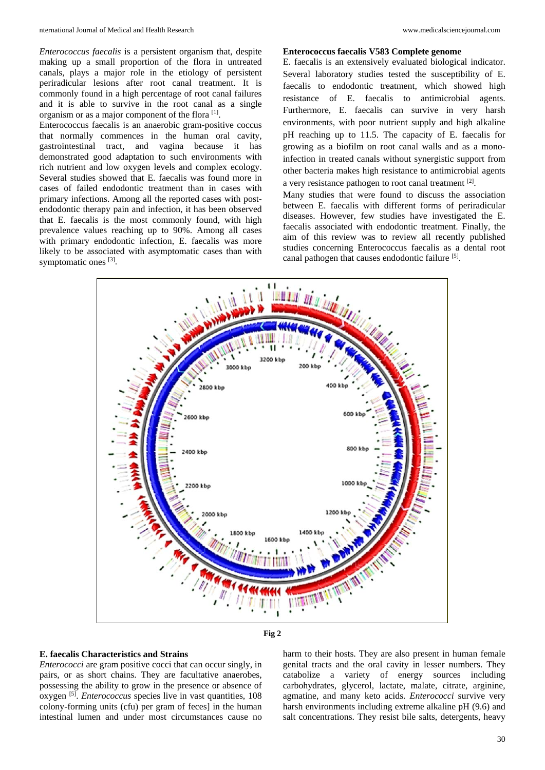*Enterococcus faecalis* is a persistent organism that, despite making up a small proportion of the flora in untreated canals, plays a major role in the etiology of persistent periradicular lesions after root canal treatment. It is commonly found in a high percentage of root canal failures and it is able to survive in the root canal as a single organism or as a major component of the flora [1].

Enterococcus faecalis is an anaerobic gram-positive coccus that normally commences in the human oral cavity, gastrointestinal tract, and vagina because it has demonstrated good adaptation to such environments with rich nutrient and low oxygen levels and complex ecology. Several studies showed that E. faecalis was found more in cases of failed endodontic treatment than in cases with primary infections. Among all the reported cases with postendodontic therapy pain and infection, it has been observed that E. faecalis is the most commonly found, with high prevalence values reaching up to 90%. Among all cases with primary endodontic infection, E. faecalis was more likely to be associated with asymptomatic cases than with symptomatic ones [3].

#### **Enterococcus faecalis V583 Complete genome**

E. faecalis is an extensively evaluated biological indicator. Several laboratory studies tested the susceptibility of E. faecalis to endodontic treatment, which showed high resistance of E. faecalis to antimicrobial agents. Furthermore, E. faecalis can survive in very harsh environments, with poor nutrient supply and high alkaline pH reaching up to 11.5. The capacity of E. faecalis for growing as a biofilm on root canal walls and as a monoinfection in treated canals without synergistic support from other bacteria makes high resistance to antimicrobial agents a very resistance pathogen to root canal treatment [2].

Many studies that were found to discuss the association between E. faecalis with different forms of periradicular diseases. However, few studies have investigated the E. faecalis associated with endodontic treatment. Finally, the aim of this review was to review all recently published studies concerning Enterococcus faecalis as a dental root canal pathogen that causes endodontic failure [5].





## **E. faecalis Characteristics and Strains**

*Enterococci* are gram positive cocci that can occur singly, in pairs, or as short chains. They are facultative anaerobes, possessing the ability to grow in the presence or absence of oxygen [5]. *Enterococcus* species live in vast quantities, 108 colony-forming units (cfu) per gram of feces] in the human intestinal lumen and under most circumstances cause no harm to their hosts. They are also present in human female genital tracts and the oral cavity in lesser numbers. They catabolize a variety of energy sources including carbohydrates, glycerol, lactate, malate, citrate, arginine, agmatine, and many keto acids. *Enterococci* survive very harsh environments including extreme alkaline pH (9.6) and salt concentrations. They resist bile salts, detergents, heavy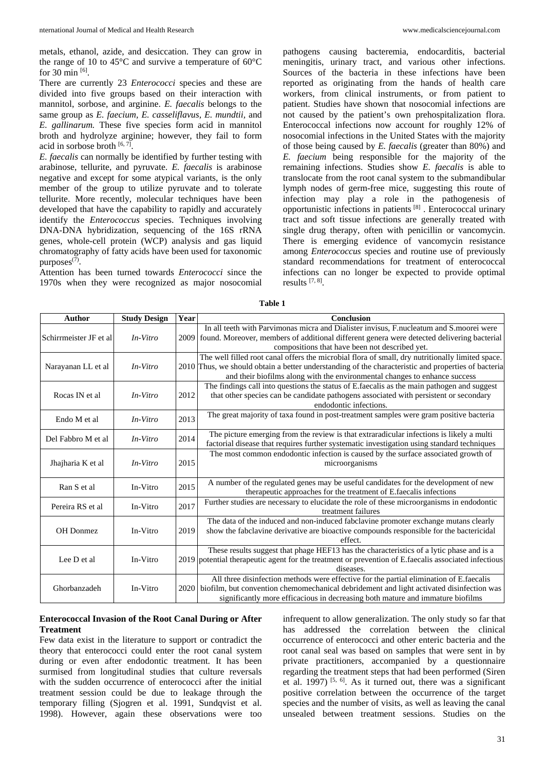metals, ethanol, azide, and desiccation. They can grow in the range of 10 to 45°C and survive a temperature of 60°C for 30 min  $[6]$ .

There are currently 23 *Enterococci* species and these are divided into five groups based on their interaction with mannitol, sorbose, and arginine. *E. faecalis* belongs to the same group as *E. faecium, E. casseliflavus, E. mundtii,* and *E. gallinarum.* These five species form acid in mannitol broth and hydrolyze arginine; however, they fail to form acid in sorbose broth [6,7].

*E. faecalis* can normally be identified by further testing with arabinose, tellurite, and pyruvate. *E. faecalis* is arabinose negative and except for some atypical variants, is the only member of the group to utilize pyruvate and to tolerate tellurite. More recently, molecular techniques have been developed that have the capability to rapidly and accurately identify the *Enterococcus* species. Techniques involving DNA-DNA hybridization, sequencing of the 16S rRNA genes, whole-cell protein (WCP) analysis and gas liquid chromatography of fatty acids have been used for taxonomic purposes $(7)$ .

Attention has been turned towards *Enterococci* since the 1970s when they were recognized as major nosocomial pathogens causing bacteremia, endocarditis, bacterial meningitis, urinary tract, and various other infections. Sources of the bacteria in these infections have been reported as originating from the hands of health care workers, from clinical instruments, or from patient to patient. Studies have shown that nosocomial infections are not caused by the patient's own prehospitalization flora. Enterococcal infections now account for roughly 12% of nosocomial infections in the United States with the majority of those being caused by *E. faecalis* (greater than 80%) and *E. faecium* being responsible for the majority of the remaining infections. Studies show *E. faecalis* is able to translocate from the root canal system to the submandibular lymph nodes of germ-free mice, suggesting this route of infection may play a role in the pathogenesis of opportunistic infections in patients [8] . Enterococcal urinary tract and soft tissue infections are generally treated with single drug therapy, often with penicillin or vancomycin. There is emerging evidence of vancomycin resistance among *Enterococcus* species and routine use of previously standard recommendations for treatment of enterococcal infections can no longer be expected to provide optimal results  $[7, 8]$ .

| Author                  | <b>Study Design</b> | Year | <b>Conclusion</b>                                                                                    |
|-------------------------|---------------------|------|------------------------------------------------------------------------------------------------------|
| Schirrmeister JF et al. | In-Vitro            |      | In all teeth with Parvimonas micra and Dialister invisus, F.nucleatum and S.moorei were              |
|                         |                     |      | 2009 found. Moreover, members of additional different genera were detected delivering bacterial      |
|                         |                     |      | compositions that have been not described yet.                                                       |
| Narayanan LL et al      | In-Vitro            |      | The well filled root canal offers the microbial flora of small, dry nutritionally limited space.     |
|                         |                     |      | 2010 Thus, we should obtain a better understanding of the characteristic and properties of bacteria  |
|                         |                     |      | and their biofilms along with the environmental changes to enhance success                           |
| Rocas IN et al          | In-Vitro            | 2012 | The findings call into questions the status of E.faecalis as the main pathogen and suggest           |
|                         |                     |      | that other species can be candidate pathogens associated with persistent or secondary                |
|                         |                     |      | endodontic infections.                                                                               |
| Endo M et al            | In-Vitro            | 2013 | The great majority of taxa found in post-treatment samples were gram positive bacteria               |
|                         |                     |      |                                                                                                      |
| Del Fabbro M et al      | $In-Vitro$          | 2014 | The picture emerging from the review is that extraradicular infections is likely a multi             |
|                         |                     |      | factorial disease that requires further systematic investigation using standard techniques           |
| Jhajharia K et al       | In-Vitro            | 2015 | The most common endodontic infection is caused by the surface associated growth of                   |
|                         |                     |      | microorganisms                                                                                       |
|                         |                     |      |                                                                                                      |
| Ran S et al             | In-Vitro            | 2015 | A number of the regulated genes may be useful candidates for the development of new                  |
|                         |                     |      | therapeutic approaches for the treatment of E.faecalis infections                                    |
| Pereira RS et al        | In-Vitro            | 2017 | Further studies are necessary to elucidate the role of these microorganisms in endodontic            |
|                         |                     |      | treatment failures                                                                                   |
| OH Donmez               | In-Vitro            | 2019 | The data of the induced and non-induced fabclavine promoter exchange mutans clearly                  |
|                         |                     |      | show the fabclavine derivative are bioactive compounds responsible for the bactericidal              |
|                         |                     |      | effect.                                                                                              |
| Lee D et al             | In-Vitro            |      | These results suggest that phage HEF13 has the characteristics of a lytic phase and is a             |
|                         |                     |      | 2019 potential therapeutic agent for the treatment or prevention of E.faecalis associated infectious |
|                         |                     |      | diseases.                                                                                            |
| Ghorbanzadeh            | In-Vitro            |      | All three disinfection methods were effective for the partial elimination of E.faecalis              |
|                         |                     |      | 2020 biofilm, but convention chemomechanical debridement and light activated disinfection was        |
|                         |                     |      | significantly more efficacious in decreasing both mature and immature biofilms                       |

**Table 1**

## **Enterococcal Invasion of the Root Canal During or After Treatment**

Few data exist in the literature to support or contradict the theory that enterococci could enter the root canal system during or even after endodontic treatment. It has been surmised from longitudinal studies that culture reversals with the sudden occurrence of enterococci after the initial treatment session could be due to leakage through the temporary filling (Sjogren et al. 1991, Sundqvist et al. 1998). However, again these observations were too

infrequent to allow generalization. The only study so far that has addressed the correlation between the clinical occurrence of enterococci and other enteric bacteria and the root canal seal was based on samples that were sent in by private practitioners, accompanied by a questionnaire regarding the treatment steps that had been performed (Siren et al. 1997)  $[5, 6]$ . As it turned out, there was a significant positive correlation between the occurrence of the target species and the number of visits, as well as leaving the canal unsealed between treatment sessions. Studies on the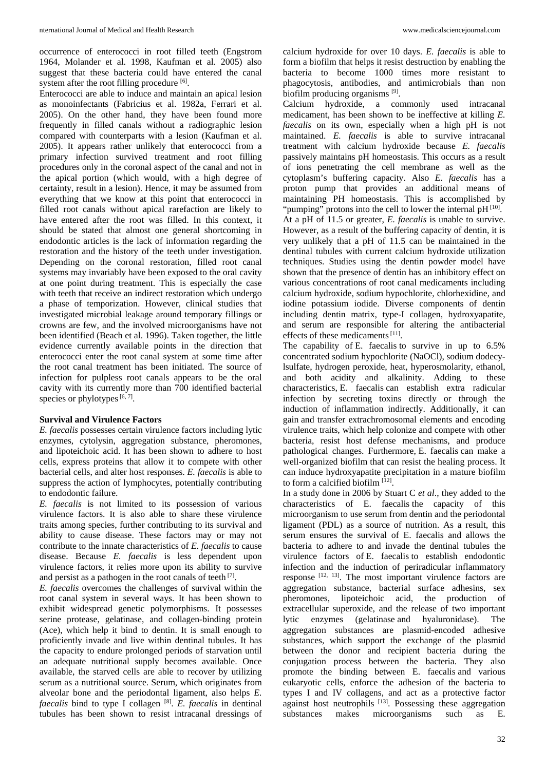occurrence of enterococci in root filled teeth (Engstrom 1964, Molander et al. 1998, Kaufman et al. 2005) also suggest that these bacteria could have entered the canal system after the root filling procedure [6].

Enterococci are able to induce and maintain an apical lesion as monoinfectants (Fabricius et al. 1982a, Ferrari et al. 2005). On the other hand, they have been found more frequently in filled canals without a radiographic lesion compared with counterparts with a lesion (Kaufman et al. 2005). It appears rather unlikely that enterococci from a primary infection survived treatment and root filling procedures only in the coronal aspect of the canal and not in the apical portion (which would, with a high degree of certainty, result in a lesion). Hence, it may be assumed from everything that we know at this point that enterococci in filled root canals without apical rarefaction are likely to have entered after the root was filled. In this context, it should be stated that almost one general shortcoming in endodontic articles is the lack of information regarding the restoration and the history of the teeth under investigation. Depending on the coronal restoration, filled root canal systems may invariably have been exposed to the oral cavity at one point during treatment. This is especially the case with teeth that receive an indirect restoration which undergo a phase of temporization. However, clinical studies that investigated microbial leakage around temporary fillings or crowns are few, and the involved microorganisms have not been identified (Beach et al. 1996). Taken together, the little evidence currently available points in the direction that enterococci enter the root canal system at some time after the root canal treatment has been initiated. The source of infection for pulpless root canals appears to be the oral cavity with its currently more than 700 identified bacterial species or phylotypes  $[6, 7]$ .

## **Survival and Virulence Factors**

*E. faecalis* possesses certain virulence factors including lytic enzymes, cytolysin, aggregation substance, pheromones, and lipoteichoic acid. It has been shown to adhere to host cells, express proteins that allow it to compete with other bacterial cells, and alter host responses. *E. faecalis* is able to suppress the action of lymphocytes, potentially contributing to endodontic failure.

*E. faecalis* is not limited to its possession of various virulence factors. It is also able to share these virulence traits among species, further contributing to its survival and ability to cause disease. These factors may or may not contribute to the innate characteristics of *E. faecalis* to cause disease. Because *E. faecalis* is less dependent upon virulence factors, it relies more upon its ability to survive and persist as a pathogen in the root canals of teeth  $[7]$ .

*E. faecalis* overcomes the challenges of survival within the root canal system in several ways. It has been shown to exhibit widespread genetic polymorphisms. It possesses serine protease, gelatinase, and collagen-binding protein (Ace), which help it bind to dentin. It is small enough to proficiently invade and live within dentinal tubules. It has the capacity to endure prolonged periods of starvation until an adequate nutritional supply becomes available. Once available, the starved cells are able to recover by utilizing serum as a nutritional source. Serum, which originates from alveolar bone and the periodontal ligament, also helps *E. faecalis* bind to type I collagen [8]. *E. faecalis* in dentinal tubules has been shown to resist intracanal dressings of calcium hydroxide for over 10 days. *E. faecalis* is able to form a biofilm that helps it resist destruction by enabling the bacteria to become 1000 times more resistant to phagocytosis, antibodies, and antimicrobials than non biofilm producing organisms [9].

Calcium hydroxide, a commonly used intracanal medicament, has been shown to be ineffective at killing *E. faecalis* on its own, especially when a high pH is not maintained. *E. faecalis* is able to survive intracanal treatment with calcium hydroxide because *E. faecalis*  passively maintains pH homeostasis. This occurs as a result of ions penetrating the cell membrane as well as the cytoplasm's buffering capacity. Also *E. faecalis* has a proton pump that provides an additional means of maintaining PH homeostasis. This is accomplished by "pumping" protons into the cell to lower the internal pH [10]. At a pH of 11.5 or greater, *E. faecalis* is unable to survive. However, as a result of the buffering capacity of dentin, it is very unlikely that a pH of 11.5 can be maintained in the dentinal tubules with current calcium hydroxide utilization techniques. Studies using the dentin powder model have shown that the presence of dentin has an inhibitory effect on various concentrations of root canal medicaments including calcium hydroxide, sodium hypochlorite, chlorhexidine, and iodine potassium iodide. Diverse components of dentin including dentin matrix, type-I collagen, hydroxyapatite, and serum are responsible for altering the antibacterial effects of these medicaments  $[11]$ .

The capability of E. faecalis to survive in up to 6.5% concentrated sodium hypochlorite (NaOCl), sodium dodecylsulfate, hydrogen peroxide, heat, hyperosmolarity, ethanol, and both acidity and alkalinity. Adding to these characteristics, E. faecalis can establish extra radicular infection by secreting toxins directly or through the induction of inflammation indirectly. Additionally, it can gain and transfer extrachromosomal elements and encoding virulence traits, which help colonize and compete with other bacteria, resist host defense mechanisms, and produce pathological changes. Furthermore, E. faecalis can make a well-organized biofilm that can resist the healing process. It can induce hydroxyapatite precipitation in a mature biofilm to form a calcified biofilm  $[12]$ .

In a study done in 2006 by Stuart C *et al*., they added to the characteristics of E. faecalis the capacity of this microorganism to use serum from dentin and the periodontal ligament (PDL) as a source of nutrition. As a result, this serum ensures the survival of E. faecalis and allows the bacteria to adhere to and invade the dentinal tubules the virulence factors of E. faecalis to establish endodontic infection and the induction of periradicular inflammatory response [12, 13]. The most important virulence factors are aggregation substance, bacterial surface adhesins, sex pheromones, lipoteichoic acid, the production of extracellular superoxide, and the release of two important lytic enzymes (gelatinase and hyaluronidase). The aggregation substances are plasmid-encoded adhesive substances, which support the exchange of the plasmid between the donor and recipient bacteria during the conjugation process between the bacteria. They also promote the binding between E. faecalis and various eukaryotic cells, enforce the adhesion of the bacteria to types I and IV collagens, and act as a protective factor against host neutrophils [13]. Possessing these aggregation substances makes microorganisms such as E.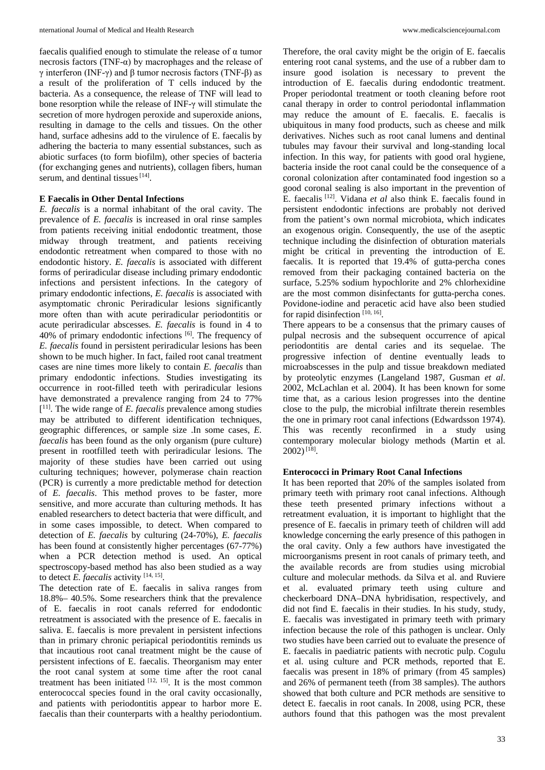faecalis qualified enough to stimulate the release of  $\alpha$  tumor necrosis factors (TNF-α) by macrophages and the release of γ interferon (INF-γ) and β tumor necrosis factors (TNF-β) as a result of the proliferation of T cells induced by the bacteria. As a consequence, the release of TNF will lead to bone resorption while the release of INF-γ will stimulate the secretion of more hydrogen peroxide and superoxide anions, resulting in damage to the cells and tissues. On the other hand, surface adhesins add to the virulence of E. faecalis by adhering the bacteria to many essential substances, such as abiotic surfaces (to form biofilm), other species of bacteria (for exchanging genes and nutrients), collagen fibers, human serum, and dentinal tissues  $[14]$ .

#### **E Faecalis in Other Dental Infections**

*E. faecalis* is a normal inhabitant of the oral cavity. The prevalence of *E. faecalis* is increased in oral rinse samples from patients receiving initial endodontic treatment, those midway through treatment, and patients receiving endodontic retreatment when compared to those with no endodontic history. *E. faecalis* is associated with different forms of periradicular disease including primary endodontic infections and persistent infections. In the category of primary endodontic infections, *E. faecalis* is associated with asymptomatic chronic Periradicular lesions significantly more often than with acute periradicular periodontitis or acute periradicular abscesses. *E. faecalis* is found in 4 to 40% of primary endodontic infections  $[6]$ . The frequency of *E. faecalis* found in persistent periradicular lesions has been shown to be much higher. In fact, failed root canal treatment cases are nine times more likely to contain *E. faecalis* than primary endodontic infections. Studies investigating its occurrence in root-filled teeth with periradicular lesions have demonstrated a prevalence ranging from 24 to 77% [ 11]. The wide range of *E. faecalis* prevalence among studies may be attributed to different identification techniques, geographic differences, or sample size .In some cases, *E. faecalis* has been found as the only organism (pure culture) present in rootfilled teeth with periradicular lesions. The majority of these studies have been carried out using culturing techniques; however, polymerase chain reaction (PCR) is currently a more predictable method for detection of *E. faecalis*. This method proves to be faster, more sensitive, and more accurate than culturing methods. It has enabled researchers to detect bacteria that were difficult, and in some cases impossible, to detect. When compared to detection of *E. faecalis* by culturing (24-70%), *E. faecalis*  has been found at consistently higher percentages (67-77%) when a PCR detection method is used. An optical spectroscopy-based method has also been studied as a way to detect *E. faecalis* activity [14, 15] .

The detection rate of E. faecalis in saliva ranges from 18.8%– 40.5%. Some researchers think that the prevalence of E. faecalis in root canals referred for endodontic retreatment is associated with the presence of E. faecalis in saliva. E. faecalis is more prevalent in persistent infections than in primary chronic periapical periodontitis reminds us that incautious root canal treatment might be the cause of persistent infections of E. faecalis. Theorganism may enter the root canal system at some time after the root canal treatment has been initiated  $[12, 15]$ . It is the most common enterococcal species found in the oral cavity occasionally, and patients with periodontitis appear to harbor more E. faecalis than their counterparts with a healthy periodontium.

Therefore, the oral cavity might be the origin of E. faecalis entering root canal systems, and the use of a rubber dam to insure good isolation is necessary to prevent the introduction of E. faecalis during endodontic treatment. Proper periodontal treatment or tooth cleaning before root canal therapy in order to control periodontal inflammation may reduce the amount of E. faecalis. E. faecalis is ubiquitous in many food products, such as cheese and milk derivatives. Niches such as root canal lumens and dentinal tubules may favour their survival and long-standing local infection. In this way, for patients with good oral hygiene, bacteria inside the root canal could be the consequence of a coronal colonization after contaminated food ingestion so a good coronal sealing is also important in the prevention of E. faecalis [12]. Vidana *et al* also think E. faecalis found in persistent endodontic infections are probably not derived from the patient's own normal microbiota, which indicates an exogenous origin. Consequently, the use of the aseptic technique including the disinfection of obturation materials might be critical in preventing the introduction of E. faecalis. It is reported that 19.4% of gutta-percha cones removed from their packaging contained bacteria on the surface, 5.25% sodium hypochlorite and 2% chlorhexidine are the most common disinfectants for gutta-percha cones. Povidone-iodine and peracetic acid have also been studied for rapid disinfection  $[10, 16]$ .

There appears to be a consensus that the primary causes of pulpal necrosis and the subsequent occurrence of apical periodontitis are dental caries and its sequelae. The progressive infection of dentine eventually leads to microabscesses in the pulp and tissue breakdown mediated by proteolytic enzymes (Langeland 1987, Gusman *et al*. 2002, McLachlan et al. 2004). It has been known for some time that, as a carious lesion progresses into the dentine close to the pulp, the microbial infiltrate therein resembles the one in primary root canal infections (Edwardsson 1974). This was recently reconfirmed in a study using contemporary molecular biology methods (Martin et al.  $2002$ )<sup>[18]</sup>.

#### **Enterococci in Primary Root Canal Infections**

It has been reported that 20% of the samples isolated from primary teeth with primary root canal infections. Although these teeth presented primary infections without a retreatment evaluation, it is important to highlight that the presence of E. faecalis in primary teeth of children will add knowledge concerning the early presence of this pathogen in the oral cavity. Only a few authors have investigated the microorganisms present in root canals of primary teeth, and the available records are from studies using microbial culture and molecular methods. da Silva et al. and Ruviere et al. evaluated primary teeth using culture and checkerboard DNA–DNA hybridisation, respectively, and did not find E. faecalis in their studies. In his study, study, E. faecalis was investigated in primary teeth with primary infection because the role of this pathogen is unclear. Only two studies have been carried out to evaluate the presence of E. faecalis in paediatric patients with necrotic pulp. Cogulu et al. using culture and PCR methods, reported that E. faecalis was present in 18% of primary (from 45 samples) and 26% of permanent teeth (from 38 samples). The authors showed that both culture and PCR methods are sensitive to detect E. faecalis in root canals. In 2008, using PCR, these authors found that this pathogen was the most prevalent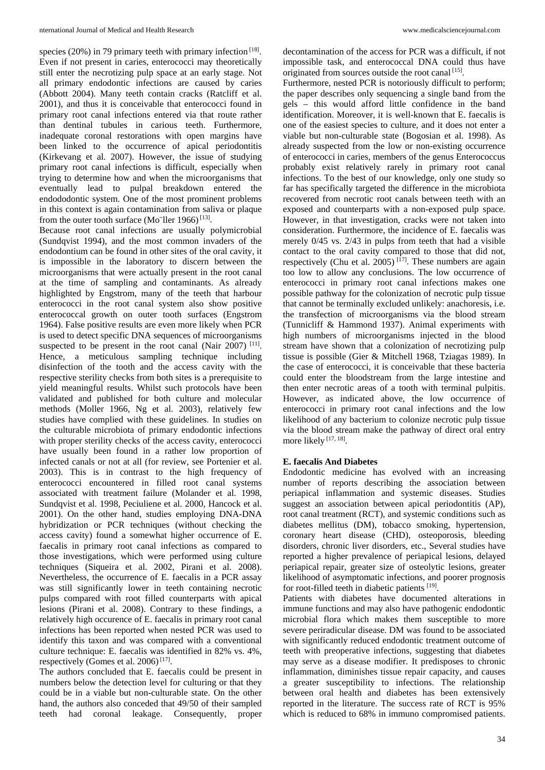species (20%) in 79 primary teeth with primary infection [18]. Even if not present in caries, enterococci may theoretically still enter the necrotizing pulp space at an early stage. Not all primary endodontic infections are caused by caries (Abbott 2004). Many teeth contain cracks (Ratcliff et al. 2001), and thus it is conceivable that enterococci found in primary root canal infections entered via that route rather than dentinal tubules in carious teeth. Furthermore, inadequate coronal restorations with open margins have been linked to the occurrence of apical periodontitis (Kirkevang et al. 2007). However, the issue of studying primary root canal infections is difficult, especially when trying to determine how and when the microorganisms that eventually lead to pulpal breakdown entered the endododontic system. One of the most prominent problems in this context is again contamination from saliva or plaque from the outer tooth surface (Mo"ller 1966)<sup>[13]</sup>.

Because root canal infections are usually polymicrobial (Sundqvist 1994), and the most common invaders of the endodontium can be found in other sites of the oral cavity, it is impossible in the laboratory to discern between the microorganisms that were actually present in the root canal at the time of sampling and contaminants. As already highlighted by Engstrom, many of the teeth that harbour enterococci in the root canal system also show positive enterococcal growth on outer tooth surfaces (Engstrom 1964). False positive results are even more likely when PCR is used to detect specific DNA sequences of microorganisms suspected to be present in the root canal (Nair 2007)  $[11]$ . Hence, a meticulous sampling technique including disinfection of the tooth and the access cavity with the respective sterility checks from both sites is a prerequisite to yield meaningful results. Whilst such protocols have been validated and published for both culture and molecular methods (Moller 1966, Ng et al. 2003), relatively few studies have complied with these guidelines. In studies on the culturable microbiota of primary endodontic infections with proper sterility checks of the access cavity, enterococci have usually been found in a rather low proportion of infected canals or not at all (for review, see Portenier et al. 2003). This is in contrast to the high frequency of enterococci encountered in filled root canal systems associated with treatment failure (Molander et al. 1998, Sundqvist et al. 1998, Peciuliene et al. 2000, Hancock et al. 2001). On the other hand, studies employing DNA-DNA hybridization or PCR techniques (without checking the access cavity) found a somewhat higher occurrence of E. faecalis in primary root canal infections as compared to those investigations, which were performed using culture techniques (Siqueira et al. 2002, Pirani et al. 2008). Nevertheless, the occurrence of E. faecalis in a PCR assay was still significantly lower in teeth containing necrotic pulps compared with root filled counterparts with apical lesions (Pirani et al. 2008). Contrary to these findings, a relatively high occurence of E. faecalis in primary root canal infections has been reported when nested PCR was used to identify this taxon and was compared with a conventional culture technique: E. faecalis was identified in 82% vs. 4%, respectively (Gomes et al. 2006)<sup>[17]</sup>.

The authors concluded that E. faecalis could be present in numbers below the detection level for culturing or that they could be in a viable but non-culturable state. On the other hand, the authors also conceded that 49/50 of their sampled teeth had coronal leakage. Consequently, proper

decontamination of the access for PCR was a difficult, if not impossible task, and enterococcal DNA could thus have originated from sources outside the root canal [15].

Furthermore, nested PCR is notoriously difficult to perform; the paper describes only sequencing a single band from the gels – this would afford little confidence in the band identification. Moreover, it is well-known that E. faecalis is one of the easiest species to culture, and it does not enter a viable but non-culturable state (Bogosian et al. 1998). As already suspected from the low or non-existing occurrence of enterococci in caries, members of the genus Enterococcus probably exist relatively rarely in primary root canal infections. To the best of our knowledge, only one study so far has specifically targeted the difference in the microbiota recovered from necrotic root canals between teeth with an exposed and counterparts with a non-exposed pulp space. However, in that investigation, cracks were not taken into consideration. Furthermore, the incidence of E. faecalis was merely 0/45 vs. 2/43 in pulps from teeth that had a visible contact to the oral cavity compared to those that did not, respectively (Chu et al. 2005)<sup>[17]</sup>. These numbers are again too low to allow any conclusions. The low occurrence of enterococci in primary root canal infections makes one possible pathway for the colonization of necrotic pulp tissue that cannot be terminally excluded unlikely: anachoresis, i.e. the transfection of microorganisms via the blood stream (Tunnicliff & Hammond 1937). Animal experiments with high numbers of microorganisms injected in the blood stream have shown that a colonization of necrotizing pulp tissue is possible (Gier & Mitchell 1968, Tziagas 1989). In the case of enterococci, it is conceivable that these bacteria could enter the bloodstream from the large intestine and then enter necrotic areas of a tooth with terminal pulpitis. However, as indicated above, the low occurrence of enterococci in primary root canal infections and the low likelihood of any bacterium to colonize necrotic pulp tissue via the blood stream make the pathway of direct oral entry more likely [17, 18].

#### **E. faecalis And Diabetes**

Endodontic medicine has evolved with an increasing number of reports describing the association between periapical inflammation and systemic diseases. Studies suggest an association between apical periodontitis (AP), root canal treatment (RCT), and systemic conditions such as diabetes mellitus (DM), tobacco smoking, hypertension, coronary heart disease (CHD), osteoporosis, bleeding disorders, chronic liver disorders, etc., Several studies have reported a higher prevalence of periapical lesions, delayed periapical repair, greater size of osteolytic lesions, greater likelihood of asymptomatic infections, and poorer prognosis for root-filled teeth in diabetic patients [19].

Patients with diabetes have documented alterations in immune functions and may also have pathogenic endodontic microbial flora which makes them susceptible to more severe periradicular disease. DM was found to be associated with significantly reduced endodontic treatment outcome of teeth with preoperative infections, suggesting that diabetes may serve as a disease modifier. It predisposes to chronic inflammation, diminishes tissue repair capacity, and causes a greater susceptibility to infections. The relationship between oral health and diabetes has been extensively reported in the literature. The success rate of RCT is 95% which is reduced to 68% in immuno compromised patients.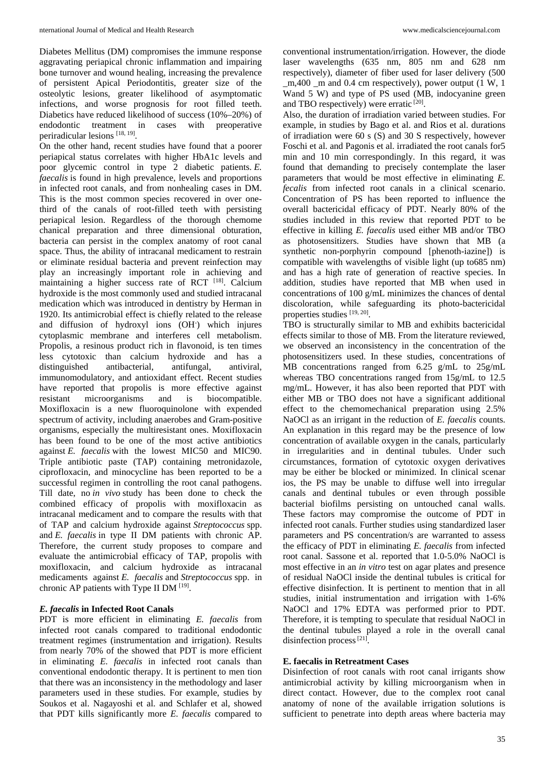Diabetes Mellitus (DM) compromises the immune response aggravating periapical chronic inflammation and impairing bone turnover and wound healing, increasing the prevalence of persistent Apical Periodontitis, greater size of the osteolytic lesions, greater likelihood of asymptomatic infections, and worse prognosis for root filled teeth. Diabetics have reduced likelihood of success (10%–20%) of endodontic treatment in cases with preoperative periradicular lesions [18, 19].

On the other hand, recent studies have found that a poorer periapical status correlates with higher HbA1c levels and poor glycemic control in type 2 diabetic patients. *E. faecalis* is found in high prevalence, levels and proportions in infected root canals, and from nonhealing cases in DM. This is the most common species recovered in over onethird of the canals of root-filled teeth with persisting periapical lesion. Regardless of the thorough chemome chanical preparation and three dimensional obturation, bacteria can persist in the complex anatomy of root canal space. Thus, the ability of intracanal medicament to restrain or eliminate residual bacteria and prevent reinfection may play an increasingly important role in achieving and maintaining a higher success rate of RCT [18]. Calcium hydroxide is the most commonly used and studied intracanal medication which was introduced in dentistry by Herman in 1920. Its antimicrobial effect is chiefly related to the release and diffusion of hydroxyl ions (OH<sup>-</sup>) which injures cytoplasmic membrane and interferes cell metabolism. Propolis, a resinous product rich in flavonoid, is ten times less cytotoxic than calcium hydroxide and has a distinguished antibacterial, antifungal, antiviral, immunomodulatory, and antioxidant effect. Recent studies have reported that propolis is more effective against resistant microorganisms and is biocompatible. Moxifloxacin is a new fluoroquinolone with expended spectrum of activity, including anaerobes and Gram-positive organisms, especially the multiresistant ones. Moxifloxacin has been found to be one of the most active antibiotics against *E. faecalis* with the lowest MIC50 and MIC90. Triple antibiotic paste (TAP) containing metronidazole, ciprofloxacin, and minocycline has been reported to be a successful regimen in controlling the root canal pathogens. Till date, no *in vivo* study has been done to check the combined efficacy of propolis with moxifloxacin as intracanal medicament and to compare the results with that of TAP and calcium hydroxide against *Streptococcus* spp. and *E. faecalis* in type II DM patients with chronic AP. Therefore, the current study proposes to compare and evaluate the antimicrobial efficacy of TAP, propolis with moxifloxacin, and calcium hydroxide as intracanal medicaments against *E. faecalis* and *Streptococcus* spp. in chronic AP patients with Type II DM  $^{[19]}$ .

### *E. faecalis* **in Infected Root Canals**

PDT is more efficient in eliminating *E. faecalis* from infected root canals compared to traditional endodontic treatment regimes (instrumentation and irrigation). Results from nearly 70% of the showed that PDT is more efficient in eliminating *E. faecalis* in infected root canals than conventional endodontic therapy. It is pertinent to men tion that there was an inconsistency in the methodology and laser parameters used in these studies. For example, studies by Soukos et al. Nagayoshi et al. and Schlafer et al, showed that PDT kills significantly more *E. faecalis* compared to

conventional instrumentation/irrigation. However, the diode laser wavelengths (635 nm, 805 nm and 628 nm respectively), diameter of fiber used for laser delivery (500 \_m,400 \_m and 0.4 cm respectively), power output (1 W, 1 Wand 5 W) and type of PS used (MB, indocyanine green and TBO respectively) were erratic  $[20]$ .

Also, the duration of irradiation varied between studies. For example, in studies by Bago et al. and Rios et al. durations of irradiation were 60 s (S) and 30 S respectively, however Foschi et al. and Pagonis et al. irradiated the root canals for5 min and 10 min correspondingly. In this regard, it was found that demanding to precisely contemplate the laser parameters that would be most effective in eliminating *E. fecalis* from infected root canals in a clinical scenario. Concentration of PS has been reported to influence the overall bactericidal efficacy of PDT. Nearly 80% of the studies included in this review that reported PDT to be effective in killing *E. faecalis* used either MB and/or TBO as photosensitizers. Studies have shown that MB (a synthetic non-porphyrin compound [phenoth-iazine]) is compatible with wavelengths of visible light (up to685 nm) and has a high rate of generation of reactive species. In addition, studies have reported that MB when used in concentrations of 100 g/mL minimizes the chances of dental discoloration, while safeguarding its photo-bactericidal properties studies [19, 20].

TBO is structurally similar to MB and exhibits bactericidal effects similar to those of MB. From the literature reviewed, we observed an inconsistency in the concentration of the photosensitizers used. In these studies, concentrations of MB concentrations ranged from 6.25 g/mL to 25g/mL whereas TBO concentrations ranged from 15g/mL to 12.5 mg/mL. However, it has also been reported that PDT with either MB or TBO does not have a significant additional effect to the chemomechanical preparation using 2.5% NaOCl as an irrigant in the reduction of *E. faecalis* counts. An explanation in this regard may be the presence of low concentration of available oxygen in the canals, particularly in irregularities and in dentinal tubules. Under such circumstances, formation of cytotoxic oxygen derivatives may be either be blocked or minimized. In clinical scenar ios, the PS may be unable to diffuse well into irregular canals and dentinal tubules or even through possible bacterial biofilms persisting on untouched canal walls. These factors may compromise the outcome of PDT in infected root canals. Further studies using standardized laser parameters and PS concentration/s are warranted to assess the efficacy of PDT in eliminating *E. faecalis* from infected root canal. Sassone et al. reported that 1.0-5.0% NaOCl is most effective in an *in vitro* test on agar plates and presence of residual NaOCl inside the dentinal tubules is critical for effective disinfection. It is pertinent to mention that in all studies, initial instrumentation and irrigation with 1-6% NaOCl and 17% EDTA was performed prior to PDT. Therefore, it is tempting to speculate that residual NaOCl in the dentinal tubules played a role in the overall canal disinfection process<sup>[21]</sup>.

#### **E. faecalis in Retreatment Cases**

Disinfection of root canals with root canal irrigants show antimicrobial activity by killing microorganism when in direct contact. However, due to the complex root canal anatomy of none of the available irrigation solutions is sufficient to penetrate into depth areas where bacteria may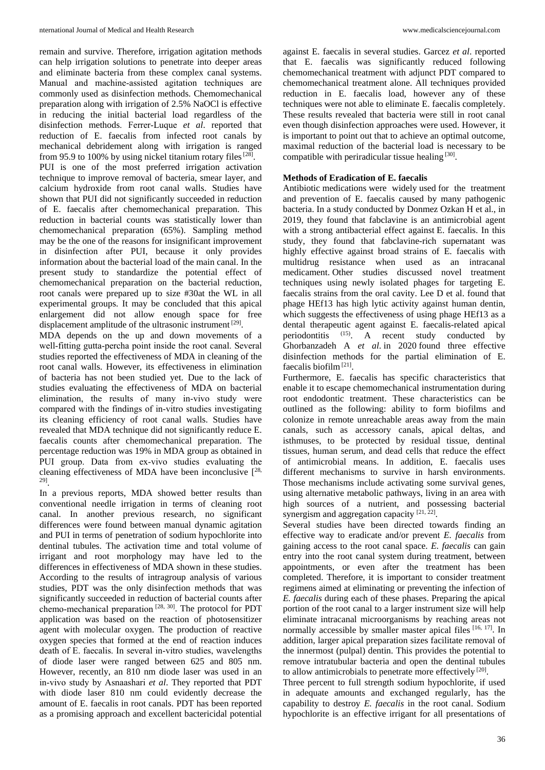remain and survive. Therefore, irrigation agitation methods can help irrigation solutions to penetrate into deeper areas and eliminate bacteria from these complex canal systems. Manual and machine-assisted agitation techniques are commonly used as disinfection methods. Chemomechanical preparation along with irrigation of 2.5% NaOCl is effective in reducing the initial bacterial load regardless of the disinfection methods. Ferrer‑Luque *et al*. reported that reduction of E. faecalis from infected root canals by mechanical debridement along with irrigation is ranged from 95.9 to 100% by using nickel titanium rotary files  $[28]$ . PUI is one of the most preferred irrigation activation technique to improve removal of bacteria, smear layer, and calcium hydroxide from root canal walls. Studies have shown that PUI did not significantly succeeded in reduction of E. faecalis after chemomechanical preparation. This reduction in bacterial counts was statistically lower than chemomechanical preparation (65%). Sampling method may be the one of the reasons for insignificant improvement in disinfection after PUI, because it only provides information about the bacterial load of the main canal. In the present study to standardize the potential effect of chemomechanical preparation on the bacterial reduction, root canals were prepared up to size #30at the WL in all experimental groups. It may be concluded that this apical enlargement did not allow enough space for free displacement amplitude of the ultrasonic instrument [29].

MDA depends on the up and down movements of a well-fitting gutta-percha point inside the root canal. Several studies reported the effectiveness of MDA in cleaning of the root canal walls. However, its effectiveness in elimination of bacteria has not been studied yet. Due to the lack of studies evaluating the effectiveness of MDA on bacterial elimination, the results of many in-vivo study were compared with the findings of in-vitro studies investigating its cleaning efficiency of root canal walls. Studies have revealed that MDA technique did not significantly reduce E. faecalis counts after chemomechanical preparation. The percentage reduction was 19% in MDA group as obtained in PUI group. Data from ex‑vivo studies evaluating the cleaning effectiveness of MDA have been inconclusive  $[28, 1]$ 29].

In a previous reports, MDA showed better results than conventional needle irrigation in terms of cleaning root canal. In another previous research, no significant differences were found between manual dynamic agitation and PUI in terms of penetration of sodium hypochlorite into dentinal tubules. The activation time and total volume of irrigant and root morphology may have led to the differences in effectiveness of MDA shown in these studies. According to the results of intragroup analysis of various studies, PDT was the only disinfection methods that was significantly succeeded in reduction of bacterial counts after chemo-mechanical preparation<sup>[28, 30]</sup>. The protocol for PDT application was based on the reaction of photosensitizer agent with molecular oxygen. The production of reactive oxygen species that formed at the end of reaction induces death of E. faecalis. In several in-vitro studies, wavelengths of diode laser were ranged between 625 and 805 nm. However, recently, an 810 nm diode laser was used in an in‑vivo study by Asnaashari *et al*. They reported that PDT with diode laser 810 nm could evidently decrease the amount of E. faecalis in root canals. PDT has been reported as a promising approach and excellent bactericidal potential

against E. faecalis in several studies. Garcez *et al*. reported that E. faecalis was significantly reduced following chemomechanical treatment with adjunct PDT compared to chemomechanical treatment alone. All techniques provided reduction in E. faecalis load, however any of these techniques were not able to eliminate E. faecalis completely. These results revealed that bacteria were still in root canal even though disinfection approaches were used. However, it is important to point out that to achieve an optimal outcome, maximal reduction of the bacterial load is necessary to be compatible with periradicular tissue healing [30].

## **Methods of Eradication of E. faecalis**

Antibiotic medications were widely used for the treatment and prevention of E. faecalis caused by many pathogenic bacteria. In a study conducted by Donmez Ozkan H et al., in 2019, they found that fabclavine is an antimicrobial agent with a strong antibacterial effect against E. faecalis. In this study, they found that fabclavine-rich supernatant was highly effective against broad strains of E. faecalis with multidrug resistance when used as an intracanal medicament. Other studies discussed novel treatment techniques using newly isolated phages for targeting E. faecalis strains from the oral cavity. Lee D et al. found that phage HEf13 has high lytic activity against human dentin, which suggests the effectiveness of using phage HEf13 as a dental therapeutic agent against E. faecalis-related apical periodontitis  $(15)$ . A recent study conducted by Ghorbanzadeh A *et al*. in 2020 found three effective disinfection methods for the partial elimination of E. faecalis biofilm $[21]$ .

Furthermore, E. faecalis has specific characteristics that enable it to escape chemomechanical instrumentation during root endodontic treatment. These characteristics can be outlined as the following: ability to form biofilms and colonize in remote unreachable areas away from the main canals, such as accessory canals, apical deltas, and isthmuses, to be protected by residual tissue, dentinal tissues, human serum, and dead cells that reduce the effect of antimicrobial means. In addition, E. faecalis uses different mechanisms to survive in harsh environments. Those mechanisms include activating some survival genes, using alternative metabolic pathways, living in an area with high sources of a nutrient, and possessing bacterial synergism and aggregation capacity  $[21, 22]$ .

Several studies have been directed towards finding an effective way to eradicate and/or prevent *E. faecalis* from gaining access to the root canal space. *E. faecalis* can gain entry into the root canal system during treatment, between appointments, or even after the treatment has been completed. Therefore, it is important to consider treatment regimens aimed at eliminating or preventing the infection of *E. faecalis* during each of these phases. Preparing the apical portion of the root canal to a larger instrument size will help eliminate intracanal microorganisms by reaching areas not normally accessible by smaller master apical files [16, 17]. In addition, larger apical preparation sizes facilitate removal of the innermost (pulpal) dentin. This provides the potential to remove intratubular bacteria and open the dentinal tubules to allow antimicrobials to penetrate more effectively [20].

Three percent to full strength sodium hypochlorite, if used in adequate amounts and exchanged regularly, has the capability to destroy *E. faecalis* in the root canal. Sodium hypochlorite is an effective irrigant for all presentations of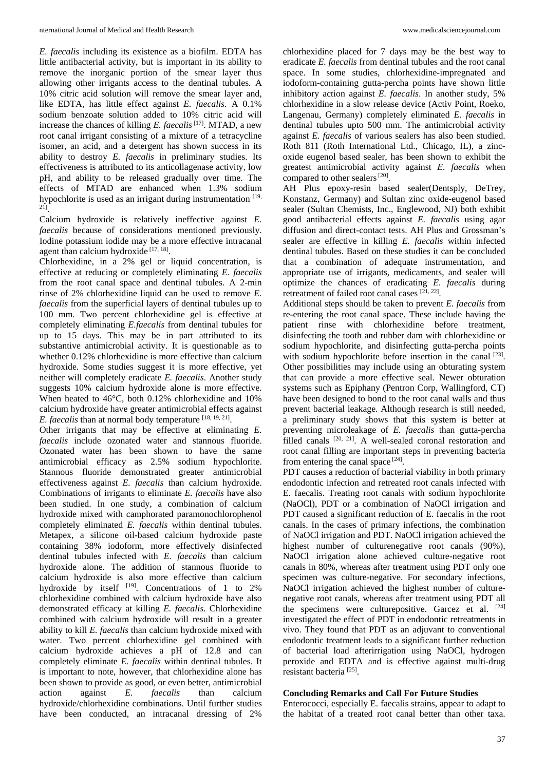*E. faecalis* including its existence as a biofilm. EDTA has little antibacterial activity, but is important in its ability to remove the inorganic portion of the smear layer thus allowing other irrigants access to the dentinal tubules. A 10% citric acid solution will remove the smear layer and, like EDTA, has little effect against *E. faecalis*. A 0.1% sodium benzoate solution added to 10% citric acid will increase the chances of killing *E. faecalis*<sup>[17]</sup>. MTAD, a new root canal irrigant consisting of a mixture of a tetracycline isomer, an acid, and a detergent has shown success in its ability to destroy *E. faecalis* in preliminary studies. Its effectiveness is attributed to its anticollagenase activity, low pH, and ability to be released gradually over time. The effects of MTAD are enhanced when 1.3% sodium hypochlorite is used as an irrigant during instrumentation  $[19, 10]$ 21].

Calcium hydroxide is relatively ineffective against *E. faecalis* because of considerations mentioned previously. Iodine potassium iodide may be a more effective intracanal agent than calcium hydroxide [17, 18].

Chlorhexidine, in a 2% gel or liquid concentration, is effective at reducing or completely eliminating *E. faecalis*  from the root canal space and dentinal tubules. A 2-min rinse of 2% chlorhexidine liquid can be used to remove *E. faecalis* from the superficial layers of dentinal tubules up to 100 mm. Two percent chlorhexidine gel is effective at completely eliminating *E.faecalis* from dentinal tubules for up to 15 days. This may be in part attributed to its substantive antimicrobial activity. It is questionable as to whether 0.12% chlorhexidine is more effective than calcium hydroxide. Some studies suggest it is more effective, yet neither will completely eradicate *E. faecalis*. Another study suggests 10% calcium hydroxide alone is more effective. When heated to 46°C, both 0.12% chlorhexidine and 10% calcium hydroxide have greater antimicrobial effects against *E. faecalis* than at normal body temperature [18, 19, 21].

Other irrigants that may be effective at eliminating *E. faecalis* include ozonated water and stannous fluoride. Ozonated water has been shown to have the same antimicrobial efficacy as 2.5% sodium hypochlorite. Stannous fluoride demonstrated greater antimicrobial effectiveness against *E. faecalis* than calcium hydroxide. Combinations of irrigants to eliminate *E. faecalis* have also been studied. In one study, a combination of calcium hydroxide mixed with camphorated paramonochlorophenol completely eliminated *E. faecalis* within dentinal tubules. Metapex, a silicone oil-based calcium hydroxide paste containing 38% iodoform, more effectively disinfected dentinal tubules infected with *E. faecalis* than calcium hydroxide alone. The addition of stannous fluoride to calcium hydroxide is also more effective than calcium hydroxide by itself  $[19]$ . Concentrations of 1 to 2% chlorhexidine combined with calcium hydroxide have also demonstrated efficacy at killing *E. faecalis*. Chlorhexidine combined with calcium hydroxide will result in a greater ability to kill *E. faecalis* than calcium hydroxide mixed with water. Two percent chlorhexidine gel combined with calcium hydroxide achieves a pH of 12.8 and can completely eliminate *E. faecalis* within dentinal tubules. It is important to note, however, that chlorhexidine alone has been shown to provide as good, or even better, antimicrobial action against *E. faecalis* than calcium hydroxide/chlorhexidine combinations. Until further studies have been conducted, an intracanal dressing of 2%

chlorhexidine placed for 7 days may be the best way to eradicate *E. faecalis* from dentinal tubules and the root canal space. In some studies, chlorhexidine-impregnated and iodoform-containing gutta-percha points have shown little inhibitory action against *E. faecalis*. In another study, 5% chlorhexidine in a slow release device (Activ Point, Roeko, Langenau, Germany) completely eliminated *E. faecalis* in dentinal tubules upto 500 mm. The antimicrobial activity against *E. faecalis* of various sealers has also been studied. Roth 811 (Roth International Ltd., Chicago, IL), a zincoxide eugenol based sealer, has been shown to exhibit the greatest antimicrobial activity against *E. faecalis* when compared to other sealers<sup>[20]</sup>.

AH Plus epoxy-resin based sealer(Dentsply, DeTrey, Konstanz, Germany) and Sultan zinc oxide-eugenol based sealer (Sultan Chemists, Inc., Englewood, NJ) both exhibit good antibacterial effects against *E. faecalis* using agar diffusion and direct-contact tests. AH Plus and Grossman's sealer are effective in killing *E. faecalis* within infected dentinal tubules. Based on these studies it can be concluded that a combination of adequate instrumentation, and appropriate use of irrigants, medicaments, and sealer will optimize the chances of eradicating *E. faecalis* during retreatment of failed root canal cases  $^{[21, 22]}$ .

Additional steps should be taken to prevent *E. faecalis* from re-entering the root canal space. These include having the patient rinse with chlorhexidine before treatment, disinfecting the tooth and rubber dam with chlorhexidine or sodium hypochlorite, and disinfecting gutta-percha points with sodium hypochlorite before insertion in the canal  $[23]$ . Other possibilities may include using an obturating system that can provide a more effective seal. Newer obturation systems such as Epiphany (Pentron Corp, Wallingford, CT) have been designed to bond to the root canal walls and thus prevent bacterial leakage. Although research is still needed, a preliminary study shows that this system is better at preventing microleakage of *E. faecalis* than gutta-percha filled canals [20, 21]. A well-sealed coronal restoration and root canal filling are important steps in preventing bacteria from entering the canal space [24].

PDT causes a reduction of bacterial viability in both primary endodontic infection and retreated root canals infected with E. faecalis. Treating root canals with sodium hypochlorite (NaOCl), PDT or a combination of NaOCl irrigation and PDT caused a significant reduction of E. faecalis in the root canals. In the cases of primary infections, the combination of NaOCl irrigation and PDT. NaOCl irrigation achieved the highest number of culturenegative root canals  $(90\%)$ , NaOCl irrigation alone achieved culture-negative root canals in 80%, whereas after treatment using PDT only one specimen was culture-negative. For secondary infections, NaOCl irrigation achieved the highest number of culturenegative root canals, whereas after treatment using PDT all the specimens were culture positive. Garcez et al.  $[24]$ investigated the effect of PDT in endodontic retreatments in vivo. They found that PDT as an adjuvant to conventional endodontic treatment leads to a significant further reduction of bacterial load afterirrigation using NaOCl, hydrogen peroxide and EDTA and is effective against multi-drug resistant bacteria [25].

## **Concluding Remarks and Call For Future Studies**

Enterococci, especially E. faecalis strains, appear to adapt to the habitat of a treated root canal better than other taxa.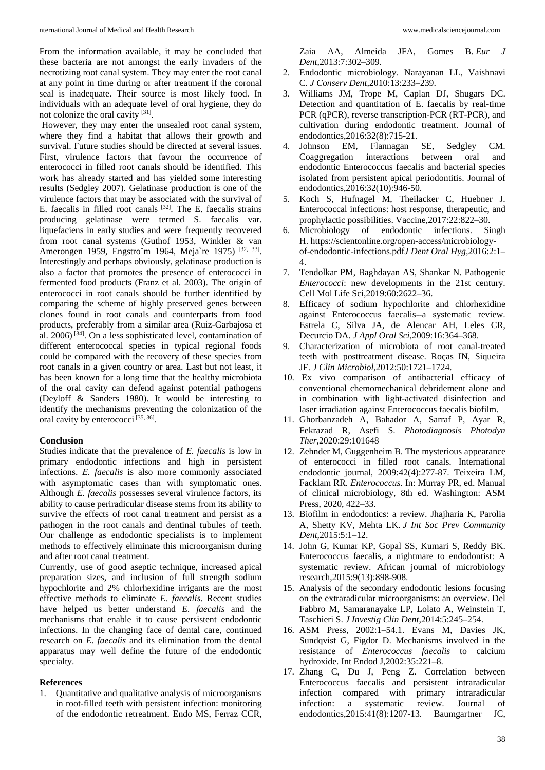From the information available, it may be concluded that these bacteria are not amongst the early invaders of the necrotizing root canal system. They may enter the root canal at any point in time during or after treatment if the coronal seal is inadequate. Their source is most likely food. In individuals with an adequate level of oral hygiene, they do not colonize the oral cavity [31].

However, they may enter the unsealed root canal system, where they find a habitat that allows their growth and survival. Future studies should be directed at several issues. First, virulence factors that favour the occurrence of enterococci in filled root canals should be identified. This work has already started and has yielded some interesting results (Sedgley 2007). Gelatinase production is one of the virulence factors that may be associated with the survival of E. faecalis in filled root canals [32]. The E. faecalis strains producing gelatinase were termed S. faecalis var. liquefaciens in early studies and were frequently recovered from root canal systems (Guthof 1953, Winkler & van Amerongen 1959, Engstro¨m 1964, Meja`re 1975) [32, 33]. Interestingly and perhaps obviously, gelatinase production is also a factor that promotes the presence of enterococci in fermented food products (Franz et al. 2003). The origin of enterococci in root canals should be further identified by comparing the scheme of highly preserved genes between clones found in root canals and counterparts from food products, preferably from a similar area (Ruiz-Garbajosa et al. 2006) [34]. On a less sophisticated level, contamination of different enterococcal species in typical regional foods could be compared with the recovery of these species from root canals in a given country or area. Last but not least, it has been known for a long time that the healthy microbiota of the oral cavity can defend against potential pathogens (Deyloff & Sanders 1980). It would be interesting to identify the mechanisms preventing the colonization of the oral cavity by enterococci<sup>[35, 36]</sup>.

#### **Conclusion**

Studies indicate that the prevalence of *E. faecalis* is low in primary endodontic infections and high in persistent infections. *E. faecalis* is also more commonly associated with asymptomatic cases than with symptomatic ones. Although *E. faecalis* possesses several virulence factors, its ability to cause periradicular disease stems from its ability to survive the effects of root canal treatment and persist as a pathogen in the root canals and dentinal tubules of teeth. Our challenge as endodontic specialists is to implement methods to effectively eliminate this microorganism during and after root canal treatment.

Currently, use of good aseptic technique, increased apical preparation sizes, and inclusion of full strength sodium hypochlorite and 2% chlorhexidine irrigants are the most effective methods to eliminate *E. faecalis*. Recent studies have helped us better understand *E. faecalis* and the mechanisms that enable it to cause persistent endodontic infections. In the changing face of dental care, continued research on *E. faecalis* and its elimination from the dental apparatus may well define the future of the endodontic specialty.

### **References**

1. Quantitative and qualitative analysis of microorganisms in root-filled teeth with persistent infection: monitoring of the endodontic retreatment. Endo MS, Ferraz CCR,

Zaia AA, Almeida JFA, Gomes B. *Eur J Dent,*2013:7:302–309.

- 2. Endodontic microbiology. Narayanan LL, Vaishnavi C. *J Conserv Dent,*2010:13:233–239.
- 3. Williams JM, Trope M, Caplan DJ, Shugars DC. Detection and quantitation of E. faecalis by real-time PCR (qPCR), reverse transcription-PCR (RT-PCR), and cultivation during endodontic treatment. Journal of endodontics,2016:32(8):715-21.
- 4. Johnson EM, Flannagan SE, Sedgley CM. Coaggregation interactions between oral and endodontic Enterococcus faecalis and bacterial species isolated from persistent apical periodontitis. Journal of endodontics,2016:32(10):946-50.
- 5. Koch S, Hufnagel M, Theilacker C, Huebner J. Enterococcal infections: host response, therapeutic, and prophylactic possibilities. Vaccine,2017:22:822–30.
- Microbiology of endodontic infections. Singh H. https://scientonline.org/open-access/microbiologyof-endodontic-infections.pdf*J Dent Oral Hyg,*2016:2:1– 4.
- 7. Tendolkar PM, Baghdayan AS, Shankar N. Pathogenic *Enterococci*: new developments in the 21st century. Cell Mol Life Sci,2019:60:2622–36.
- 8. Efficacy of sodium hypochlorite and chlorhexidine against Enterococcus faecalis--a systematic review. Estrela C, Silva JA, de Alencar AH, Leles CR, Decurcio DA. *J Appl Oral Sci,*2009:16:364–368.
- 9. Characterization of microbiota of root canal-treated teeth with posttreatment disease. Roças IN, Siqueira JF. *J Clin Microbiol,*2012:50:1721–1724.
- 10. Ex vivo comparison of antibacterial efficacy of conventional chemomechanical debridement alone and in combination with light-activated disinfection and laser irradiation against Enterococcus faecalis biofilm.
- 11. Ghorbanzadeh A, Bahador A, Sarraf P, Ayar R, Fekrazad R, Asefi S. *Photodiagnosis Photodyn Ther,*2020:29:101648
- 12. Zehnder M, Guggenheim B. The mysterious appearance of enterococci in filled root canals. International endodontic journal, 2009:42(4):277-87. Teixeira LM, Facklam RR. *Enterococcus*. In: Murray PR, ed. Manual of clinical microbiology, 8th ed. Washington: ASM Press, 2020, 422–33.
- 13. Biofilm in endodontics: a review. Jhajharia K, Parolia A, Shetty KV, Mehta LK. *J Int Soc Prev Community Dent,*2015:5:1–12.
- 14. John G, Kumar KP, Gopal SS, Kumari S, Reddy BK. Enterococcus faecalis, a nightmare to endodontist: A systematic review. African journal of microbiology research,2015:9(13):898-908.
- 15. Analysis of the secondary endodontic lesions focusing on the extraradicular microorganisms: an overview. Del Fabbro M, Samaranayake LP, Lolato A, Weinstein T, Taschieri S. *J Investig Clin Dent,*2014:5:245–254.
- 16. ASM Press, 2002:1–54.1. Evans M, Davies JK, Sundqvist G, Figdor D. Mechanisms involved in the resistance of *Enterococcus faecalis* to calcium hydroxide. Int Endod J,2002:35:221–8.
- 17. Zhang C, Du J, Peng Z. Correlation between Enterococcus faecalis and persistent intraradicular infection compared with primary intraradicular infection: a systematic review. Journal of endodontics,2015:41(8):1207-13. Baumgartner JC,